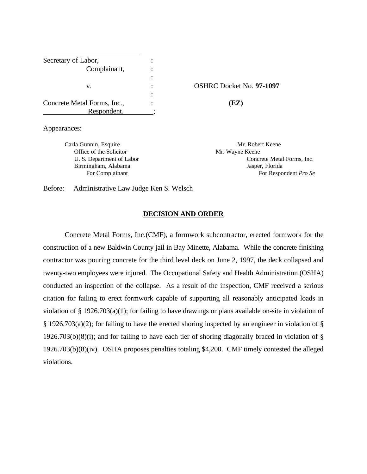| Secretary of Labor,         |                     |
|-----------------------------|---------------------|
| Complainant,                |                     |
|                             |                     |
| v.                          | <b>OSHRC Docket</b> |
|                             |                     |
| Concrete Metal Forms, Inc., | (EZ)                |
| Respondent.                 |                     |

v. : OSHRC Docket No. **97-1097**

Appearances:

Carla Gunnin, Esquire Mr. Robert Keene Office of the Solicitor Mr. Wayne Keene

 U. S. Department of Labor Concrete Metal Forms, Inc. Birmingham, Alabama Jasper, Florida For Complainant For Respondent *Pro Se* 

Before: Administrative Law Judge Ken S. Welsch

### **DECISION AND ORDER**

Concrete Metal Forms, Inc.(CMF), a formwork subcontractor, erected formwork for the construction of a new Baldwin County jail in Bay Minette, Alabama. While the concrete finishing contractor was pouring concrete for the third level deck on June 2, 1997, the deck collapsed and twenty-two employees were injured. The Occupational Safety and Health Administration (OSHA) conducted an inspection of the collapse. As a result of the inspection, CMF received a serious citation for failing to erect formwork capable of supporting all reasonably anticipated loads in violation of § 1926.703(a)(1); for failing to have drawings or plans available on-site in violation of § 1926.703(a)(2); for failing to have the erected shoring inspected by an engineer in violation of § 1926.703(b)(8)(i); and for failing to have each tier of shoring diagonally braced in violation of  $\S$ 1926.703(b)(8)(iv). OSHA proposes penalties totaling \$4,200. CMF timely contested the alleged violations.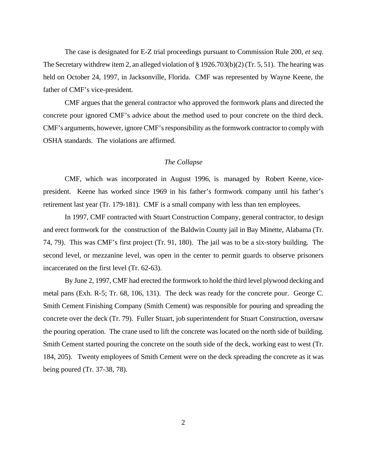The case is designated for E-Z trial proceedings pursuant to Commission Rule 200, *et seq*. The Secretary withdrew item 2, an alleged violation of § 1926.703(b)(2) (Tr. 5, 51). The hearing was held on October 24, 1997, in Jacksonville, Florida. CMF was represented by Wayne Keene, the father of CMF's vice-president.

CMF argues that the general contractor who approved the formwork plans and directed the concrete pour ignored CMF's advice about the method used to pour concrete on the third deck. CMF's arguments, however, ignore CMF's responsibility as the formwork contractor to comply with OSHA standards. The violations are affirmed.

### *The Collapse*

CMF, which was incorporated in August 1996, is managed by Robert Keene, vicepresident. Keene has worked since 1969 in his father's formwork company until his father's retirement last year (Tr. 179-181). CMF is a small company with less than ten employees.

In 1997, CMF contracted with Stuart Construction Company, general contractor, to design and erect formwork for the construction of the Baldwin County jail in Bay Minette, Alabama (Tr. 74, 79). This was CMF's first project (Tr. 91, 180). The jail was to be a six-story building. The second level, or mezzanine level, was open in the center to permit guards to observe prisoners incarcerated on the first level (Tr. 62-63).

By June 2, 1997, CMF had erected the formwork to hold the third level plywood decking and metal pans (Exh. R-5; Tr. 68, 106, 131). The deck was ready for the concrete pour. George C. Smith Cement Finishing Company (Smith Cement) was responsible for pouring and spreading the concrete over the deck (Tr. 79). Fuller Stuart, job superintendent for Stuart Construction, oversaw the pouring operation. The crane used to lift the concrete was located on the north side of building. Smith Cement started pouring the concrete on the south side of the deck, working east to west (Tr. 184, 205). Twenty employees of Smith Cement were on the deck spreading the concrete as it was being poured (Tr. 37-38, 78).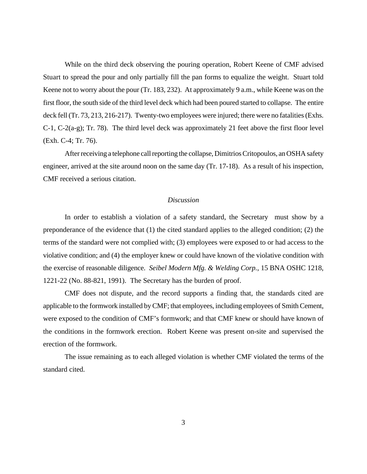While on the third deck observing the pouring operation, Robert Keene of CMF advised Stuart to spread the pour and only partially fill the pan forms to equalize the weight. Stuart told Keene not to worry about the pour (Tr. 183, 232). At approximately 9 a.m., while Keene was on the first floor, the south side of the third level deck which had been poured started to collapse. The entire deck fell (Tr. 73, 213, 216-217). Twenty-two employees were injured; there were no fatalities (Exhs. C-1, C-2(a-g); Tr. 78). The third level deck was approximately 21 feet above the first floor level (Exh. C-4; Tr. 76).

After receiving a telephone call reporting the collapse, Dimitrios Critopoulos, an OSHA safety engineer, arrived at the site around noon on the same day (Tr. 17-18). As a result of his inspection, CMF received a serious citation.

#### *Discussion*

In order to establish a violation of a safety standard, the Secretary must show by a preponderance of the evidence that (1) the cited standard applies to the alleged condition; (2) the terms of the standard were not complied with; (3) employees were exposed to or had access to the violative condition; and (4) the employer knew or could have known of the violative condition with the exercise of reasonable diligence. *Seibel Modern Mfg. & Welding Corp.*, 15 BNA OSHC 1218, 1221-22 (No. 88-821, 1991). The Secretary has the burden of proof.

CMF does not dispute, and the record supports a finding that, the standards cited are applicable to the formwork installed by CMF; that employees, including employees of Smith Cement, were exposed to the condition of CMF's formwork; and that CMF knew or should have known of the conditions in the formwork erection. Robert Keene was present on-site and supervised the erection of the formwork.

The issue remaining as to each alleged violation is whether CMF violated the terms of the standard cited.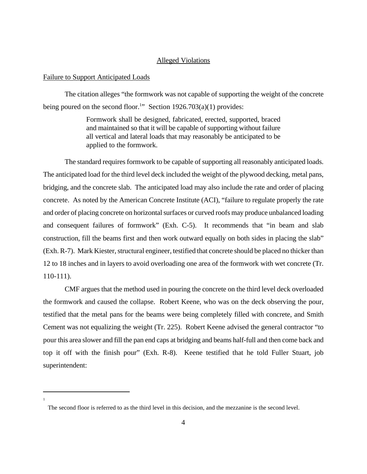## Alleged Violations

#### Failure to Support Anticipated Loads

1

The citation alleges "the formwork was not capable of supporting the weight of the concrete being poured on the second floor.<sup>1</sup>" Section 1926.703(a)(1) provides:

> Formwork shall be designed, fabricated, erected, supported, braced and maintained so that it will be capable of supporting without failure all vertical and lateral loads that may reasonably be anticipated to be applied to the formwork.

The standard requires formwork to be capable of supporting all reasonably anticipated loads. The anticipated load for the third level deck included the weight of the plywood decking, metal pans, bridging, and the concrete slab. The anticipated load may also include the rate and order of placing concrete. As noted by the American Concrete Institute (ACI), "failure to regulate properly the rate and order of placing concrete on horizontal surfaces or curved roofs may produce unbalanced loading and consequent failures of formwork" (Exh. C-5). It recommends that "in beam and slab construction, fill the beams first and then work outward equally on both sides in placing the slab" (Exh. R-7). Mark Kiester, structural engineer, testified that concrete should be placed no thicker than 12 to 18 inches and in layers to avoid overloading one area of the formwork with wet concrete (Tr. 110-111).

CMF argues that the method used in pouring the concrete on the third level deck overloaded the formwork and caused the collapse. Robert Keene, who was on the deck observing the pour, testified that the metal pans for the beams were being completely filled with concrete, and Smith Cement was not equalizing the weight (Tr. 225). Robert Keene advised the general contractor "to pour this area slower and fill the pan end caps at bridging and beams half-full and then come back and top it off with the finish pour" (Exh. R-8). Keene testified that he told Fuller Stuart, job superintendent:

The second floor is referred to as the third level in this decision, and the mezzanine is the second level.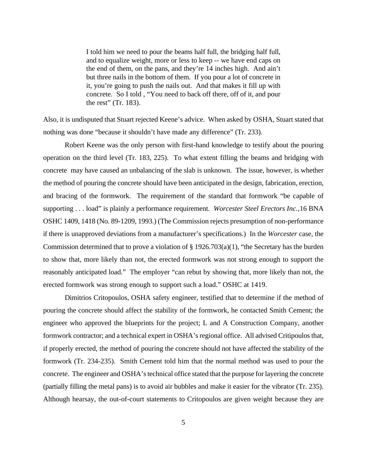I told him we need to pour the beams half full, the bridging half full, and to equalize weight, more or less to keep -- we have end caps on the end of them, on the pans, and they're 14 inches high. And ain't but three nails in the bottom of them. If you pour a lot of concrete in it, you're going to push the nails out. And that makes it fill up with concrete. So I told , "You need to back off there, off of it, and pour the rest" (Tr. 183).

Also, it is undisputed that Stuart rejected Keene's advice. When asked by OSHA, Stuart stated that nothing was done "because it shouldn't have made any difference" (Tr. 233).

Robert Keene was the only person with first-hand knowledge to testify about the pouring operation on the third level (Tr. 183, 225). To what extent filling the beams and bridging with concrete may have caused an unbalancing of the slab is unknown. The issue, however, is whether the method of pouring the concrete should have been anticipated in the design, fabrication, erection, and bracing of the formwork. The requirement of the standard that formwork "be capable of supporting . . . load" is plainly a performance requirement. *Worcester Steel Erectors Inc.,*16 BNA OSHC 1409, 1418 (No. 89-1209, 1993.) (The Commission rejects presumption of non-performance if there is unapproved deviations from a manufacturer's specifications.) In the *Worcester* case, the Commission determined that to prove a violation of  $\S 1926.703(a)(1)$ , "the Secretary has the burden to show that, more likely than not, the erected formwork was not strong enough to support the reasonably anticipated load." The employer "can rebut by showing that, more likely than not, the erected formwork was strong enough to support such a load." OSHC at 1419.

Dimitrios Critopoulos, OSHA safety engineer, testified that to determine if the method of pouring the concrete should affect the stability of the formwork, he contacted Smith Cement; the engineer who approved the blueprints for the project; L and A Construction Company, another formwork contractor; and a technical expert in OSHA's regional office. All advised Critipoulos that, if properly erected, the method of pouring the concrete should not have affected the stability of the formwork (Tr. 234-235). Smith Cement told him that the normal method was used to pour the concrete. The engineer and OSHA's technical office stated that the purpose for layering the concrete (partially filling the metal pans) is to avoid air bubbles and make it easier for the vibrator (Tr. 235). Although hearsay, the out-of-court statements to Critopoulos are given weight because they are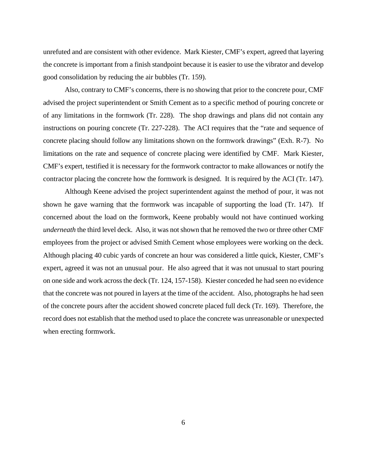unrefuted and are consistent with other evidence. Mark Kiester, CMF's expert, agreed that layering the concrete is important from a finish standpoint because it is easier to use the vibrator and develop good consolidation by reducing the air bubbles (Tr. 159).

Also, contrary to CMF's concerns, there is no showing that prior to the concrete pour, CMF advised the project superintendent or Smith Cement as to a specific method of pouring concrete or of any limitations in the formwork (Tr. 228). The shop drawings and plans did not contain any instructions on pouring concrete (Tr. 227-228). The ACI requires that the "rate and sequence of concrete placing should follow any limitations shown on the formwork drawings" (Exh. R-7). No limitations on the rate and sequence of concrete placing were identified by CMF. Mark Kiester, CMF's expert, testified it is necessary for the formwork contractor to make allowances or notify the contractor placing the concrete how the formwork is designed. It is required by the ACI (Tr. 147).

Although Keene advised the project superintendent against the method of pour, it was not shown he gave warning that the formwork was incapable of supporting the load (Tr. 147). If concerned about the load on the formwork, Keene probably would not have continued working *underneath* the third level deck. Also, it was not shown that he removed the two or three other CMF employees from the project or advised Smith Cement whose employees were working on the deck. Although placing 40 cubic yards of concrete an hour was considered a little quick, Kiester, CMF's expert, agreed it was not an unusual pour. He also agreed that it was not unusual to start pouring on one side and work across the deck (Tr. 124, 157-158). Kiester conceded he had seen no evidence that the concrete was not poured in layers at the time of the accident. Also, photographs he had seen of the concrete pours after the accident showed concrete placed full deck (Tr. 169). Therefore, the record does not establish that the method used to place the concrete was unreasonable or unexpected when erecting formwork.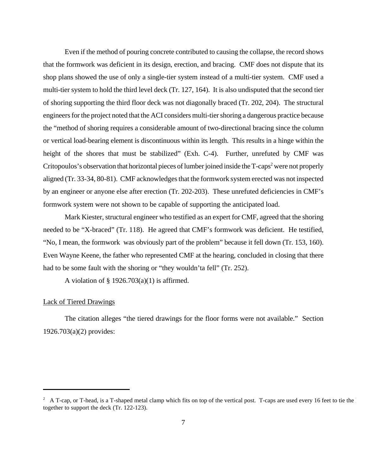Even if the method of pouring concrete contributed to causing the collapse, the record shows that the formwork was deficient in its design, erection, and bracing. CMF does not dispute that its shop plans showed the use of only a single-tier system instead of a multi-tier system. CMF used a multi-tier system to hold the third level deck (Tr. 127, 164). It is also undisputed that the second tier of shoring supporting the third floor deck was not diagonally braced (Tr. 202, 204). The structural engineers for the project noted that the ACI considers multi-tier shoring a dangerous practice because the "method of shoring requires a considerable amount of two-directional bracing since the column or vertical load-bearing element is discontinuous within its length. This results in a hinge within the height of the shores that must be stabilized" (Exh. C-4). Further, unrefuted by CMF was Critopoulos's observation that horizontal pieces of lumber joined inside the T-caps<sup>2</sup> were not properly aligned (Tr. 33-34, 80-81). CMF acknowledges that the formwork system erected was not inspected by an engineer or anyone else after erection (Tr. 202-203). These unrefuted deficiencies in CMF's formwork system were not shown to be capable of supporting the anticipated load.

Mark Kiester, structural engineer who testified as an expert for CMF, agreed that the shoring needed to be "X-braced" (Tr. 118). He agreed that CMF's formwork was deficient. He testified, "No, I mean, the formwork was obviously part of the problem" because it fell down (Tr. 153, 160). Even Wayne Keene, the father who represented CMF at the hearing, concluded in closing that there had to be some fault with the shoring or "they wouldn'ta fell" (Tr. 252).

A violation of  $\S$  1926.703(a)(1) is affirmed.

### Lack of Tiered Drawings

The citation alleges "the tiered drawings for the floor forms were not available." Section 1926.703(a)(2) provides:

<sup>&</sup>lt;sup>2</sup> A T-cap, or T-head, is a T-shaped metal clamp which fits on top of the vertical post. T-caps are used every 16 feet to tie the together to support the deck (Tr. 122-123).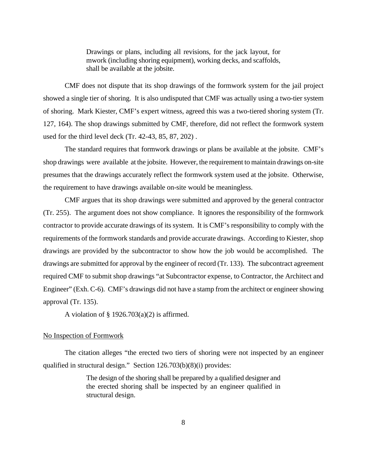Drawings or plans, including all revisions, for the jack layout, for mwork (including shoring equipment), working decks, and scaffolds, shall be available at the jobsite.

CMF does not dispute that its shop drawings of the formwork system for the jail project showed a single tier of shoring. It is also undisputed that CMF was actually using a two-tier system of shoring. Mark Kiester, CMF's expert witness, agreed this was a two-tiered shoring system (Tr. 127, 164). The shop drawings submitted by CMF, therefore, did not reflect the formwork system used for the third level deck (Tr. 42-43, 85, 87, 202) .

The standard requires that formwork drawings or plans be available at the jobsite. CMF's shop drawings were available at the jobsite. However, the requirement to maintain drawings on-site presumes that the drawings accurately reflect the formwork system used at the jobsite. Otherwise, the requirement to have drawings available on-site would be meaningless.

CMF argues that its shop drawings were submitted and approved by the general contractor (Tr. 255). The argument does not show compliance. It ignores the responsibility of the formwork contractor to provide accurate drawings of its system. It is CMF's responsibility to comply with the requirements of the formwork standards and provide accurate drawings. According to Kiester, shop drawings are provided by the subcontractor to show how the job would be accomplished. The drawings are submitted for approval by the engineer of record (Tr. 133). The subcontract agreement required CMF to submit shop drawings "at Subcontractor expense, to Contractor, the Architect and Engineer" (Exh. C-6). CMF's drawings did not have a stamp from the architect or engineer showing approval (Tr. 135).

A violation of  $\S$  1926.703(a)(2) is affirmed.

# No Inspection of Formwork

The citation alleges "the erected two tiers of shoring were not inspected by an engineer qualified in structural design." Section 126.703(b)(8)(i) provides:

> The design of the shoring shall be prepared by a qualified designer and the erected shoring shall be inspected by an engineer qualified in structural design.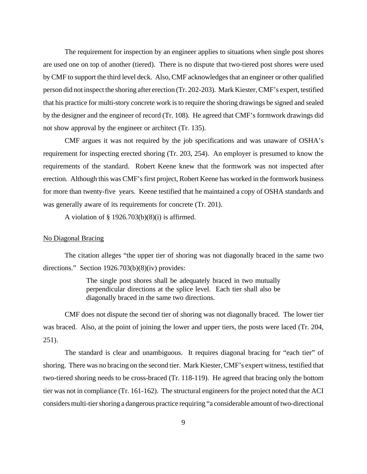The requirement for inspection by an engineer applies to situations when single post shores are used one on top of another (tiered). There is no dispute that two-tiered post shores were used by CMF to support the third level deck. Also, CMF acknowledges that an engineer or other qualified person did not inspect the shoring after erection (Tr. 202-203). Mark Kiester, CMF's expert, testified that his practice for multi-story concrete work is to require the shoring drawings be signed and sealed by the designer and the engineer of record (Tr. 108). He agreed that CMF's formwork drawings did not show approval by the engineer or architect (Tr. 135).

CMF argues it was not required by the job specifications and was unaware of OSHA's requirement for inspecting erected shoring (Tr. 203, 254). An employer is presumed to know the requirements of the standard. Robert Keene knew that the formwork was not inspected after erection. Although this was CMF's first project, Robert Keene has worked in the formwork business for more than twenty-five years. Keene testified that he maintained a copy of OSHA standards and was generally aware of its requirements for concrete (Tr. 201).

A violation of  $\S$  1926.703(b)(8)(i) is affirmed.

### No Diagonal Bracing

The citation alleges "the upper tier of shoring was not diagonally braced in the same two directions." Section 1926.703(b)(8)(iv) provides:

> The single post shores shall be adequately braced in two mutually perpendicular directions at the splice level. Each tier shall also be diagonally braced in the same two directions.

CMF does not dispute the second tier of shoring was not diagonally braced. The lower tier was braced. Also, at the point of joining the lower and upper tiers, the posts were laced (Tr. 204, 251).

The standard is clear and unambiguous. It requires diagonal bracing for "each tier" of shoring. There was no bracing on the second tier. Mark Kiester, CMF's expert witness, testified that two-tiered shoring needs to be cross-braced (Tr. 118-119). He agreed that bracing only the bottom tier was not in compliance (Tr. 161-162). The structural engineers for the project noted that the ACI considers multi-tier shoring a dangerous practice requiring "a considerable amount of two-directional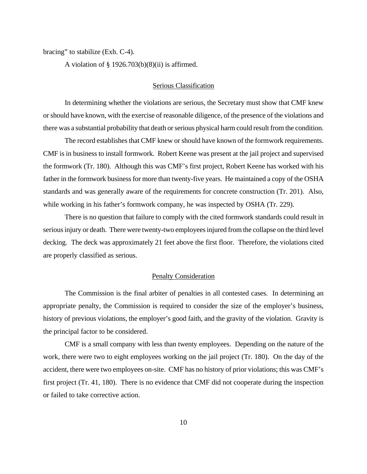bracing" to stabilize (Exh. C-4).

A violation of  $\S$  1926.703(b)(8)(ii) is affirmed.

### Serious Classification

In determining whether the violations are serious, the Secretary must show that CMF knew or should have known, with the exercise of reasonable diligence, of the presence of the violations and there was a substantial probability that death or serious physical harm could result from the condition.

The record establishes that CMF knew or should have known of the formwork requirements. CMF is in business to install formwork. Robert Keene was present at the jail project and supervised the formwork (Tr. 180). Although this was CMF's first project, Robert Keene has worked with his father in the formwork business for more than twenty-five years. He maintained a copy of the OSHA standards and was generally aware of the requirements for concrete construction (Tr. 201). Also, while working in his father's formwork company, he was inspected by OSHA (Tr. 229).

There is no question that failure to comply with the cited formwork standards could result in serious injury or death. There were twenty-two employees injured from the collapse on the third level decking. The deck was approximately 21 feet above the first floor. Therefore, the violations cited are properly classified as serious.

## Penalty Consideration

The Commission is the final arbiter of penalties in all contested cases. In determining an appropriate penalty, the Commission is required to consider the size of the employer's business, history of previous violations, the employer's good faith, and the gravity of the violation. Gravity is the principal factor to be considered.

CMF is a small company with less than twenty employees. Depending on the nature of the work, there were two to eight employees working on the jail project (Tr. 180). On the day of the accident, there were two employees on-site. CMF has no history of prior violations; this was CMF's first project (Tr. 41, 180). There is no evidence that CMF did not cooperate during the inspection or failed to take corrective action.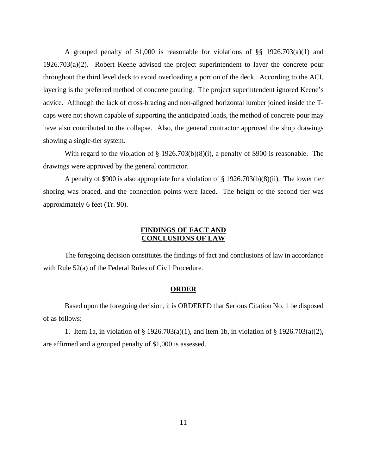A grouped penalty of \$1,000 is reasonable for violations of  $\S$ § 1926.703(a)(1) and 1926.703(a)(2). Robert Keene advised the project superintendent to layer the concrete pour throughout the third level deck to avoid overloading a portion of the deck. According to the ACI, layering is the preferred method of concrete pouring. The project superintendent ignored Keene's advice. Although the lack of cross-bracing and non-aligned horizontal lumber joined inside the Tcaps were not shown capable of supporting the anticipated loads, the method of concrete pour may have also contributed to the collapse. Also, the general contractor approved the shop drawings showing a single-tier system.

With regard to the violation of § 1926.703(b)(8)(i), a penalty of \$900 is reasonable. The drawings were approved by the general contractor.

A penalty of \$900 is also appropriate for a violation of § 1926.703(b)(8)(ii). The lower tier shoring was braced, and the connection points were laced. The height of the second tier was approximately 6 feet (Tr. 90).

# **FINDINGS OF FACT AND CONCLUSIONS OF LAW**

The foregoing decision constitutes the findings of fact and conclusions of law in accordance with Rule 52(a) of the Federal Rules of Civil Procedure.

### **ORDER**

Based upon the foregoing decision, it is ORDERED that Serious Citation No. 1 be disposed of as follows:

1. Item 1a, in violation of § 1926.703(a)(1), and item 1b, in violation of § 1926.703(a)(2), are affirmed and a grouped penalty of \$1,000 is assessed.